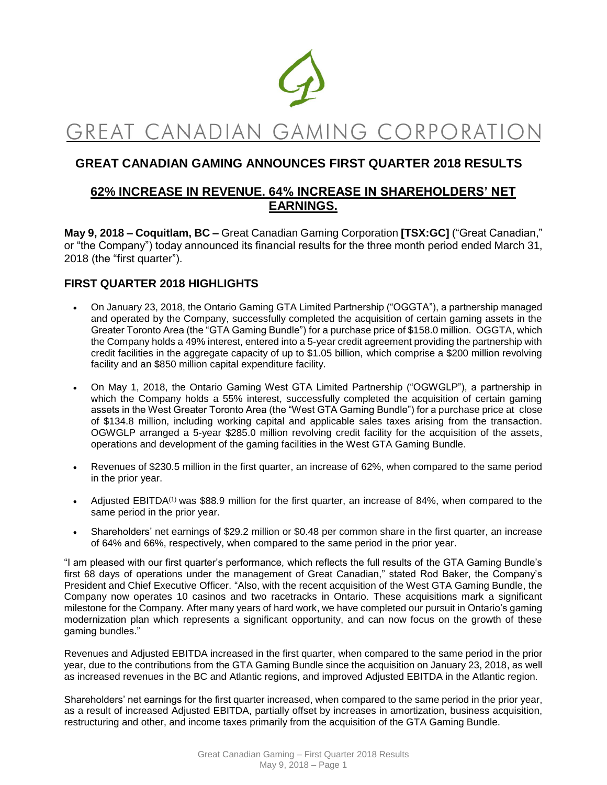

# GREAT CANADIAN GAMING CORPORATIO

# **GREAT CANADIAN GAMING ANNOUNCES FIRST QUARTER 2018 RESULTS**

# **62% INCREASE IN REVENUE. 64% INCREASE IN SHAREHOLDERS' NET EARNINGS.**

**May 9, 2018 – Coquitlam, BC –** Great Canadian Gaming Corporation **[TSX:GC]** ("Great Canadian," or "the Company") today announced its financial results for the three month period ended March 31, 2018 (the "first quarter").

# **FIRST QUARTER 2018 HIGHLIGHTS**

- On January 23, 2018, the Ontario Gaming GTA Limited Partnership ("OGGTA"), a partnership managed and operated by the Company, successfully completed the acquisition of certain gaming assets in the Greater Toronto Area (the "GTA Gaming Bundle") for a purchase price of \$158.0 million. OGGTA, which the Company holds a 49% interest, entered into a 5-year credit agreement providing the partnership with credit facilities in the aggregate capacity of up to \$1.05 billion, which comprise a \$200 million revolving facility and an \$850 million capital expenditure facility.
- On May 1, 2018, the Ontario Gaming West GTA Limited Partnership ("OGWGLP"), a partnership in which the Company holds a 55% interest, successfully completed the acquisition of certain gaming assets in the West Greater Toronto Area (the "West GTA Gaming Bundle") for a purchase price at close of \$134.8 million, including working capital and applicable sales taxes arising from the transaction. OGWGLP arranged a 5-year \$285.0 million revolving credit facility for the acquisition of the assets, operations and development of the gaming facilities in the West GTA Gaming Bundle.
- Revenues of \$230.5 million in the first quarter, an increase of 62%, when compared to the same period in the prior year.
- Adjusted EBITDA<sup>(1)</sup> was \$88.9 million for the first quarter, an increase of 84%, when compared to the same period in the prior year.
- Shareholders' net earnings of \$29.2 million or \$0.48 per common share in the first quarter, an increase of 64% and 66%, respectively, when compared to the same period in the prior year.

"I am pleased with our first quarter's performance, which reflects the full results of the GTA Gaming Bundle's first 68 days of operations under the management of Great Canadian," stated Rod Baker, the Company's President and Chief Executive Officer. "Also, with the recent acquisition of the West GTA Gaming Bundle, the Company now operates 10 casinos and two racetracks in Ontario. These acquisitions mark a significant milestone for the Company. After many years of hard work, we have completed our pursuit in Ontario's gaming modernization plan which represents a significant opportunity, and can now focus on the growth of these gaming bundles."

Revenues and Adjusted EBITDA increased in the first quarter, when compared to the same period in the prior year, due to the contributions from the GTA Gaming Bundle since the acquisition on January 23, 2018, as well as increased revenues in the BC and Atlantic regions, and improved Adjusted EBITDA in the Atlantic region.

Shareholders' net earnings for the first quarter increased, when compared to the same period in the prior year, as a result of increased Adjusted EBITDA, partially offset by increases in amortization, business acquisition, restructuring and other, and income taxes primarily from the acquisition of the GTA Gaming Bundle.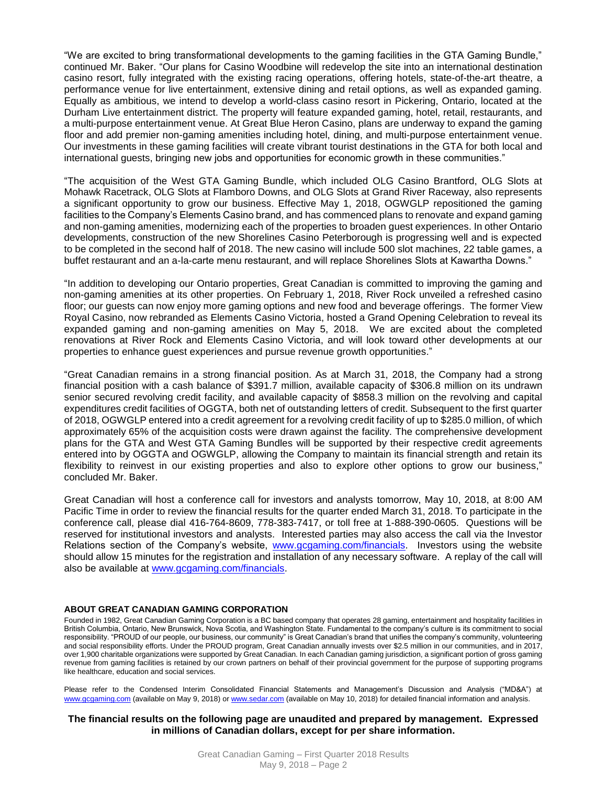"We are excited to bring transformational developments to the gaming facilities in the GTA Gaming Bundle," continued Mr. Baker. "Our plans for Casino Woodbine will redevelop the site into an international destination casino resort, fully integrated with the existing racing operations, offering hotels, state-of-the-art theatre, a performance venue for live entertainment, extensive dining and retail options, as well as expanded gaming. Equally as ambitious, we intend to develop a world-class casino resort in Pickering, Ontario, located at the Durham Live entertainment district. The property will feature expanded gaming, hotel, retail, restaurants, and a multi-purpose entertainment venue. At Great Blue Heron Casino, plans are underway to expand the gaming floor and add premier non-gaming amenities including hotel, dining, and multi-purpose entertainment venue. Our investments in these gaming facilities will create vibrant tourist destinations in the GTA for both local and international guests, bringing new jobs and opportunities for economic growth in these communities."

"The acquisition of the West GTA Gaming Bundle, which included OLG Casino Brantford, OLG Slots at Mohawk Racetrack, OLG Slots at Flamboro Downs, and OLG Slots at Grand River Raceway, also represents a significant opportunity to grow our business. Effective May 1, 2018, OGWGLP repositioned the gaming facilities to the Company's Elements Casino brand, and has commenced plans to renovate and expand gaming and non-gaming amenities, modernizing each of the properties to broaden guest experiences. In other Ontario developments, construction of the new Shorelines Casino Peterborough is progressing well and is expected to be completed in the second half of 2018. The new casino will include 500 slot machines, 22 table games, a buffet restaurant and an a-la-carte menu restaurant, and will replace Shorelines Slots at Kawartha Downs."

"In addition to developing our Ontario properties, Great Canadian is committed to improving the gaming and non-gaming amenities at its other properties. On February 1, 2018, River Rock unveiled a refreshed casino floor; our guests can now enjoy more gaming options and new food and beverage offerings. The former View Royal Casino, now rebranded as Elements Casino Victoria, hosted a Grand Opening Celebration to reveal its expanded gaming and non-gaming amenities on May 5, 2018. We are excited about the completed renovations at River Rock and Elements Casino Victoria, and will look toward other developments at our properties to enhance guest experiences and pursue revenue growth opportunities."

"Great Canadian remains in a strong financial position. As at March 31, 2018, the Company had a strong financial position with a cash balance of \$391.7 million, available capacity of \$306.8 million on its undrawn senior secured revolving credit facility, and available capacity of \$858.3 million on the revolving and capital expenditures credit facilities of OGGTA, both net of outstanding letters of credit. Subsequent to the first quarter of 2018, OGWGLP entered into a credit agreement for a revolving credit facility of up to \$285.0 million, of which approximately 65% of the acquisition costs were drawn against the facility. The comprehensive development plans for the GTA and West GTA Gaming Bundles will be supported by their respective credit agreements entered into by OGGTA and OGWGLP, allowing the Company to maintain its financial strength and retain its flexibility to reinvest in our existing properties and also to explore other options to grow our business," concluded Mr. Baker.

Great Canadian will host a conference call for investors and analysts tomorrow, May 10, 2018, at 8:00 AM Pacific Time in order to review the financial results for the quarter ended March 31, 2018. To participate in the conference call, please dial 416-764-8609, 778-383-7417, or toll free at 1-888-390-0605. Questions will be reserved for institutional investors and analysts. Interested parties may also access the call via the Investor Relations section of the Company's website, [www.gcgaming.com/financials.](http://www.gcgaming.com/financials) Investors using the website should allow 15 minutes for the registration and installation of any necessary software. A replay of the call will also be available at [www.gcgaming.com/financials.](http://www.gcgaming.com/financials)

#### **ABOUT GREAT CANADIAN GAMING CORPORATION**

Founded in 1982, Great Canadian Gaming Corporation is a BC based company that operates 28 gaming, entertainment and hospitality facilities in British Columbia, Ontario, New Brunswick, Nova Scotia, and Washington State. Fundamental to the company's culture is its commitment to social responsibility. "PROUD of our people, our business, our community" is Great Canadian's brand that unifies the company's community, volunteering and social responsibility efforts. Under the PROUD program, Great Canadian annually invests over \$2.5 million in our communities, and in 2017, over 1,900 charitable organizations were supported by Great Canadian. In each Canadian gaming jurisdiction, a significant portion of gross gaming revenue from gaming facilities is retained by our crown partners on behalf of their provincial government for the purpose of supporting programs like healthcare, education and social services.

Please refer to the Condensed Interim Consolidated Financial Statements and Management's Discussion and Analysis ("MD&A") at [www.gcgaming.com](http://www.gcgaming.com/) (available on May 9, 2018) o[r www.sedar.com](http://www.sedar.com/) (available on May 10, 2018) for detailed financial information and analysis.

#### **The financial results on the following page are unaudited and prepared by management. Expressed in millions of Canadian dollars, except for per share information.**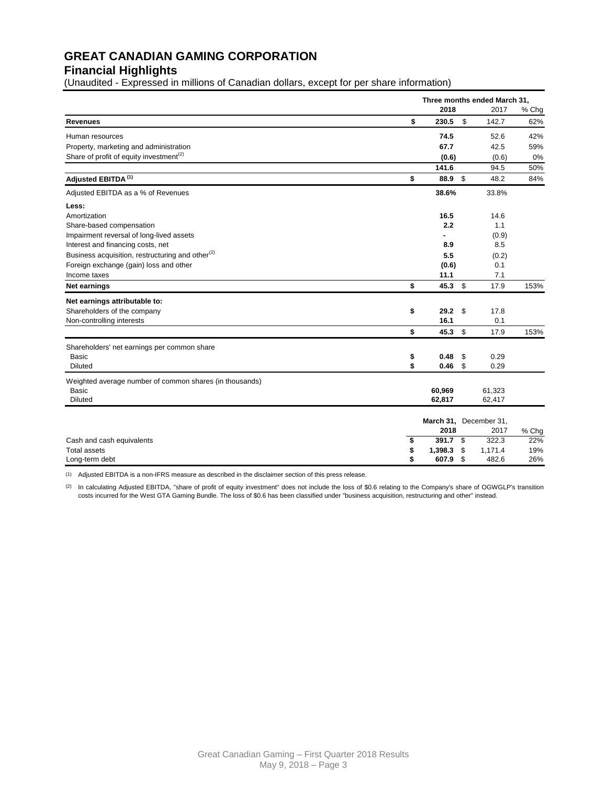# **GREAT CANADIAN GAMING CORPORATION**

# **Financial Highlights**

(Unaudited - Expressed in millions of Canadian dollars, except for per share information)

|                                                              | Three months ended March 31, |    |                        |       |  |
|--------------------------------------------------------------|------------------------------|----|------------------------|-------|--|
|                                                              | 2018                         |    | 2017                   | % Chg |  |
| <b>Revenues</b>                                              | \$<br>230.5                  | \$ | 142.7                  | 62%   |  |
| Human resources                                              | 74.5                         |    | 52.6                   | 42%   |  |
| Property, marketing and administration                       | 67.7                         |    | 42.5                   | 59%   |  |
| Share of profit of equity investment <sup>(2)</sup>          | (0.6)                        |    | (0.6)                  | 0%    |  |
|                                                              | 141.6                        |    | 94.5                   | 50%   |  |
| Adjusted EBITDA <sup>(1)</sup>                               | \$<br>88.9 \$                |    | 48.2                   | 84%   |  |
| Adjusted EBITDA as a % of Revenues                           | 38.6%                        |    | 33.8%                  |       |  |
| Less:                                                        |                              |    |                        |       |  |
| Amortization                                                 | 16.5                         |    | 14.6                   |       |  |
| Share-based compensation                                     | 2.2                          |    | 1.1                    |       |  |
| Impairment reversal of long-lived assets                     | ٠                            |    | (0.9)                  |       |  |
| Interest and financing costs, net                            | 8.9                          |    | 8.5                    |       |  |
| Business acquisition, restructuring and other <sup>(2)</sup> | 5.5                          |    | (0.2)                  |       |  |
| Foreign exchange (gain) loss and other                       | (0.6)                        |    | 0.1                    |       |  |
| Income taxes                                                 | 11.1                         |    | 7.1                    |       |  |
| Net earnings                                                 | \$<br>45.3                   | \$ | 17.9                   | 153%  |  |
| Net earnings attributable to:                                |                              |    |                        |       |  |
| Shareholders of the company                                  | \$<br>29.2 <sup>5</sup>      |    | 17.8                   |       |  |
| Non-controlling interests                                    | 16.1                         |    | 0.1                    |       |  |
|                                                              | \$<br>45.3                   | \$ | 17.9                   | 153%  |  |
| Shareholders' net earnings per common share                  |                              |    |                        |       |  |
| Basic                                                        | \$<br>0.48                   | \$ | 0.29                   |       |  |
| <b>Diluted</b>                                               | \$<br>0.46                   | \$ | 0.29                   |       |  |
| Weighted average number of common shares (in thousands)      |                              |    |                        |       |  |
| <b>Basic</b>                                                 | 60,969                       |    | 61,323                 |       |  |
| <b>Diluted</b>                                               | 62,817                       |    | 62,417                 |       |  |
|                                                              |                              |    | March 31, December 31, |       |  |
|                                                              | 2018                         |    | 2017                   | % Chg |  |
| Cash and cash equivalents                                    | \$<br>391.7                  | \$ | 322.3                  | 22%   |  |
| <b>Total assets</b>                                          | \$<br>1,398.3                | \$ | 1,171.4                | 19%   |  |
| Long-term debt                                               | \$<br>607.9                  | \$ | 482.6                  | 26%   |  |

(1) Adjusted EBITDA is a non-IFRS measure as described in the disclaimer section of this press release.

(2) In calculating Adjusted EBITDA, "share of profit of equity investment" does not include the loss of \$0.6 relating to the Company's share of OGWGLP's transition costs incurred for the West GTA Gaming Bundle. The loss of \$0.6 has been classified under "business acquisition, restructuring and other" instead.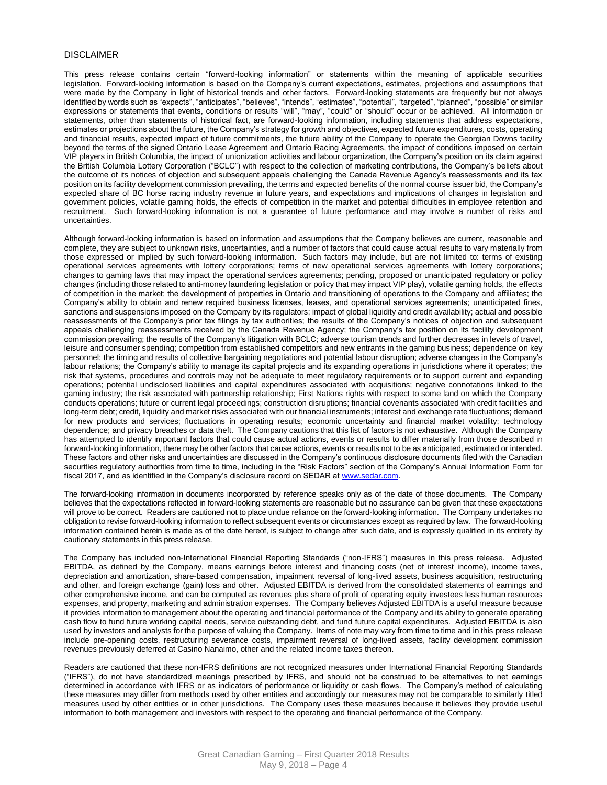#### DISCLAIMER

This press release contains certain "forward-looking information" or statements within the meaning of applicable securities legislation. Forward-looking information is based on the Company's current expectations, estimates, projections and assumptions that were made by the Company in light of historical trends and other factors. Forward-looking statements are frequently but not always identified by words such as "expects", "anticipates", "believes", "intends", "estimates", "potential", "targeted", "planned", "possible" or similar expressions or statements that events, conditions or results "will", "may", "could" or "should" occur or be achieved. All information or statements, other than statements of historical fact, are forward-looking information, including statements that address expectations, estimates or projections about the future, the Company's strategy for growth and objectives, expected future expenditures, costs, operating and financial results, expected impact of future commitments, the future ability of the Company to operate the Georgian Downs facility beyond the terms of the signed Ontario Lease Agreement and Ontario Racing Agreements, the impact of conditions imposed on certain VIP players in British Columbia, the impact of unionization activities and labour organization, the Company's position on its claim against the British Columbia Lottery Corporation ("BCLC") with respect to the collection of marketing contributions, the Company's beliefs about the outcome of its notices of objection and subsequent appeals challenging the Canada Revenue Agency's reassessments and its tax position on its facility development commission prevailing, the terms and expected benefits of the normal course issuer bid, the Company's expected share of BC horse racing industry revenue in future years, and expectations and implications of changes in legislation and government policies, volatile gaming holds, the effects of competition in the market and potential difficulties in employee retention and recruitment. Such forward-looking information is not a guarantee of future performance and may involve a number of risks and uncertainties.

Although forward-looking information is based on information and assumptions that the Company believes are current, reasonable and complete, they are subject to unknown risks, uncertainties, and a number of factors that could cause actual results to vary materially from those expressed or implied by such forward-looking information. Such factors may include, but are not limited to: terms of existing operational services agreements with lottery corporations; terms of new operational services agreements with lottery corporations; changes to gaming laws that may impact the operational services agreements; pending, proposed or unanticipated regulatory or policy changes (including those related to anti-money laundering legislation or policy that may impact VIP play), volatile gaming holds, the effects of competition in the market; the development of properties in Ontario and transitioning of operations to the Company and affiliates; the Company's ability to obtain and renew required business licenses, leases, and operational services agreements; unanticipated fines, sanctions and suspensions imposed on the Company by its regulators; impact of global liquidity and credit availability; actual and possible reassessments of the Company's prior tax filings by tax authorities; the results of the Company's notices of objection and subsequent appeals challenging reassessments received by the Canada Revenue Agency; the Company's tax position on its facility development commission prevailing; the results of the Company's litigation with BCLC; adverse tourism trends and further decreases in levels of travel, leisure and consumer spending; competition from established competitors and new entrants in the gaming business; dependence on key personnel; the timing and results of collective bargaining negotiations and potential labour disruption; adverse changes in the Company's labour relations; the Company's ability to manage its capital projects and its expanding operations in jurisdictions where it operates; the risk that systems, procedures and controls may not be adequate to meet regulatory requirements or to support current and expanding operations; potential undisclosed liabilities and capital expenditures associated with acquisitions; negative connotations linked to the gaming industry; the risk associated with partnership relationship; First Nations rights with respect to some land on which the Company conducts operations; future or current legal proceedings; construction disruptions; financial covenants associated with credit facilities and long-term debt; credit, liquidity and market risks associated with our financial instruments; interest and exchange rate fluctuations; demand for new products and services; fluctuations in operating results; economic uncertainty and financial market volatility; technology dependence; and privacy breaches or data theft. The Company cautions that this list of factors is not exhaustive. Although the Company has attempted to identify important factors that could cause actual actions, events or results to differ materially from those described in forward-looking information, there may be other factors that cause actions, events or results not to be as anticipated, estimated or intended. These factors and other risks and uncertainties are discussed in the Company's continuous disclosure documents filed with the Canadian securities regulatory authorities from time to time, including in the "Risk Factors" section of the Company's Annual Information Form for fiscal 2017, and as identified in the Company's disclosure record on SEDAR at [www.sedar.com.](http://www.sedar.com/)

The forward-looking information in documents incorporated by reference speaks only as of the date of those documents. The Company believes that the expectations reflected in forward-looking statements are reasonable but no assurance can be given that these expectations will prove to be correct. Readers are cautioned not to place undue reliance on the forward-looking information. The Company undertakes no obligation to revise forward-looking information to reflect subsequent events or circumstances except as required by law. The forward-looking information contained herein is made as of the date hereof, is subject to change after such date, and is expressly qualified in its entirety by cautionary statements in this press release.

The Company has included non-International Financial Reporting Standards ("non-IFRS") measures in this press release. Adjusted EBITDA, as defined by the Company, means earnings before interest and financing costs (net of interest income), income taxes, depreciation and amortization, share-based compensation, impairment reversal of long-lived assets, business acquisition, restructuring and other, and foreign exchange (gain) loss and other. Adjusted EBITDA is derived from the consolidated statements of earnings and other comprehensive income, and can be computed as revenues plus share of profit of operating equity investees less human resources expenses, and property, marketing and administration expenses. The Company believes Adjusted EBITDA is a useful measure because it provides information to management about the operating and financial performance of the Company and its ability to generate operating cash flow to fund future working capital needs, service outstanding debt, and fund future capital expenditures. Adjusted EBITDA is also used by investors and analysts for the purpose of valuing the Company. Items of note may vary from time to time and in this press release include pre-opening costs, restructuring severance costs, impairment reversal of long-lived assets, facility development commission revenues previously deferred at Casino Nanaimo, other and the related income taxes thereon.

Readers are cautioned that these non-IFRS definitions are not recognized measures under International Financial Reporting Standards ("IFRS"), do not have standardized meanings prescribed by IFRS, and should not be construed to be alternatives to net earnings determined in accordance with IFRS or as indicators of performance or liquidity or cash flows. The Company's method of calculating these measures may differ from methods used by other entities and accordingly our measures may not be comparable to similarly titled measures used by other entities or in other jurisdictions. The Company uses these measures because it believes they provide useful information to both management and investors with respect to the operating and financial performance of the Company.